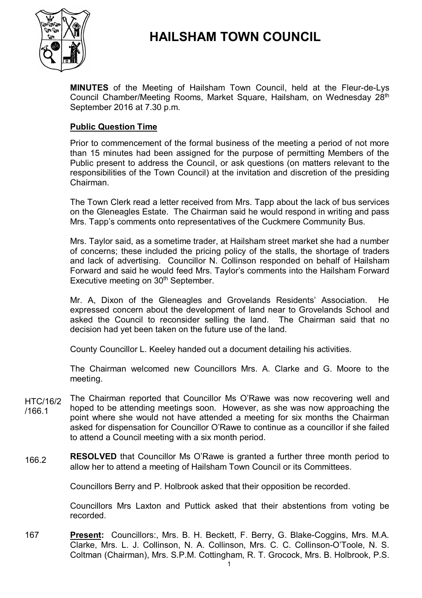

# **HAILSHAM TOWN COUNCIL**

**MINUTES** of the Meeting of Hailsham Town Council, held at the Fleur-de-Lys Council Chamber/Meeting Rooms, Market Square, Hailsham, on Wednesday 28<sup>th</sup> September 2016 at 7.30 p.m.

# **Public Question Time**

Prior to commencement of the formal business of the meeting a period of not more than 15 minutes had been assigned for the purpose of permitting Members of the Public present to address the Council, or ask questions (on matters relevant to the responsibilities of the Town Council) at the invitation and discretion of the presiding Chairman.

The Town Clerk read a letter received from Mrs. Tapp about the lack of bus services on the Gleneagles Estate. The Chairman said he would respond in writing and pass Mrs. Tapp's comments onto representatives of the Cuckmere Community Bus.

Mrs. Taylor said, as a sometime trader, at Hailsham street market she had a number of concerns; these included the pricing policy of the stalls, the shortage of traders and lack of advertising. Councillor N. Collinson responded on behalf of Hailsham Forward and said he would feed Mrs. Taylor's comments into the Hailsham Forward Executive meeting on 30<sup>th</sup> September.

Mr. A, Dixon of the Gleneagles and Grovelands Residents' Association. He expressed concern about the development of land near to Grovelands School and asked the Council to reconsider selling the land. The Chairman said that no decision had yet been taken on the future use of the land.

County Councillor L. Keeley handed out a document detailing his activities.

The Chairman welcomed new Councillors Mrs. A. Clarke and G. Moore to the meeting.

- HTC/16/2 /166.1 The Chairman reported that Councillor Ms O'Rawe was now recovering well and hoped to be attending meetings soon. However, as she was now approaching the point where she would not have attended a meeting for six months the Chairman asked for dispensation for Councillor O'Rawe to continue as a councillor if she failed to attend a Council meeting with a six month period.
- 166.2 **RESOLVED** that Councillor Ms O'Rawe is granted a further three month period to allow her to attend a meeting of Hailsham Town Council or its Committees.

Councillors Berry and P. Holbrook asked that their opposition be recorded.

Councillors Mrs Laxton and Puttick asked that their abstentions from voting be recorded.

167 **Present:** Councillors:, Mrs. B. H. Beckett, F. Berry, G. Blake-Coggins, Mrs. M.A. Clarke, Mrs. L. J. Collinson, N. A. Collinson, Mrs. C. C. Collinson-O'Toole, N. S. Coltman (Chairman), Mrs. S.P.M. Cottingham, R. T. Grocock, Mrs. B. Holbrook, P.S.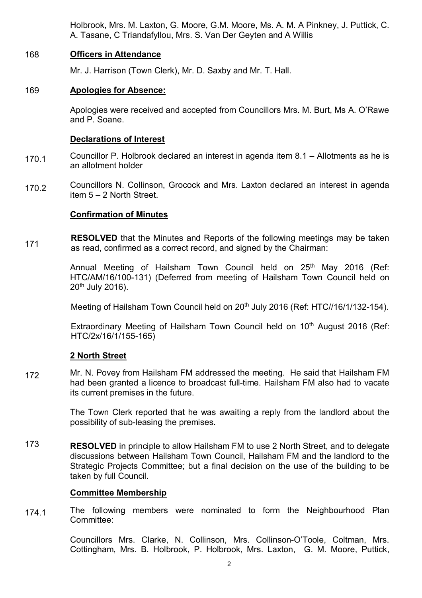Holbrook, Mrs. M. Laxton, G. Moore, G.M. Moore, Ms. A. M. A Pinkney, J. Puttick, C. A. Tasane, C Triandafyllou, Mrs. S. Van Der Geyten and A Willis

# 168 **Officers in Attendance**

Mr. J. Harrison (Town Clerk), Mr. D. Saxby and Mr. T. Hall.

# 169 **Apologies for Absence:**

Apologies were received and accepted from Councillors Mrs. M. Burt, Ms A. O'Rawe and P. Soane.

### **Declarations of Interest**

- 170.1 Councillor P. Holbrook declared an interest in agenda item 8.1 – Allotments as he is an allotment holder
- 170.2 Councillors N. Collinson, Grocock and Mrs. Laxton declared an interest in agenda item 5 – 2 North Street.

# **Confirmation of Minutes**

171 **RESOLVED** that the Minutes and Reports of the following meetings may be taken as read, confirmed as a correct record, and signed by the Chairman:

> Annual Meeting of Hailsham Town Council held on 25<sup>th</sup> May 2016 (Ref: HTC/AM/16/100-131) (Deferred from meeting of Hailsham Town Council held on 20th July 2016).

> Meeting of Hailsham Town Council held on 20<sup>th</sup> July 2016 (Ref: HTC//16/1/132-154).

Extraordinary Meeting of Hailsham Town Council held on 10<sup>th</sup> August 2016 (Ref: HTC/2x/16/1/155-165)

### **2 North Street**

172 Mr. N. Povey from Hailsham FM addressed the meeting. He said that Hailsham FM had been granted a licence to broadcast full-time. Hailsham FM also had to vacate its current premises in the future.

> The Town Clerk reported that he was awaiting a reply from the landlord about the possibility of sub-leasing the premises.

173 **RESOLVED** in principle to allow Hailsham FM to use 2 North Street, and to delegate discussions between Hailsham Town Council, Hailsham FM and the landlord to the Strategic Projects Committee; but a final decision on the use of the building to be taken by full Council.

### **Committee Membership**

174.1 The following members were nominated to form the Neighbourhood Plan Committee:

> Councillors Mrs. Clarke, N. Collinson, Mrs. Collinson-O'Toole, Coltman, Mrs. Cottingham, Mrs. B. Holbrook, P. Holbrook, Mrs. Laxton, G. M. Moore, Puttick,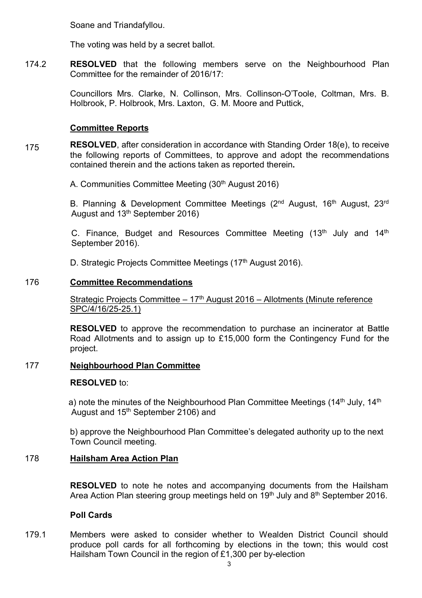Soane and Triandafyllou.

The voting was held by a secret ballot.

174.2 **RESOLVED** that the following members serve on the Neighbourhood Plan Committee for the remainder of 2016/17:

> Councillors Mrs. Clarke, N. Collinson, Mrs. Collinson-O'Toole, Coltman, Mrs. B. Holbrook, P. Holbrook, Mrs. Laxton, G. M. Moore and Puttick,

# **Committee Reports**

175 **RESOLVED**, after consideration in accordance with Standing Order 18(e), to receive the following reports of Committees, to approve and adopt the recommendations contained therein and the actions taken as reported therein**.**

A. Communities Committee Meeting (30<sup>th</sup> August 2016)

B. Planning & Development Committee Meetings (2<sup>nd</sup> August, 16<sup>th</sup> August, 23<sup>rd</sup> August and 13th September 2016)

C. Finance, Budget and Resources Committee Meeting (13th July and 14th September 2016).

D. Strategic Projects Committee Meetings (17<sup>th</sup> August 2016).

# 176 **Committee Recommendations**

Strategic Projects Committee  $-17<sup>th</sup>$  August 2016 – Allotments (Minute reference SPC/4/16/25-25.1)

**RESOLVED** to approve the recommendation to purchase an incinerator at Battle Road Allotments and to assign up to £15,000 form the Contingency Fund for the project.

# 177 **Neighbourhood Plan Committee**

### **RESOLVED** to:

a) note the minutes of the Neighbourhood Plan Committee Meetings (14<sup>th</sup> July, 14<sup>th</sup>) August and 15th September 2106) and

b) approve the Neighbourhood Plan Committee's delegated authority up to the next Town Council meeting.

# 178 **Hailsham Area Action Plan**

**RESOLVED** to note he notes and accompanying documents from the Hailsham Area Action Plan steering group meetings held on 19<sup>th</sup> July and 8<sup>th</sup> September 2016.

# **Poll Cards**

179.1 Members were asked to consider whether to Wealden District Council should produce poll cards for all forthcoming by elections in the town; this would cost Hailsham Town Council in the region of £1,300 per by-election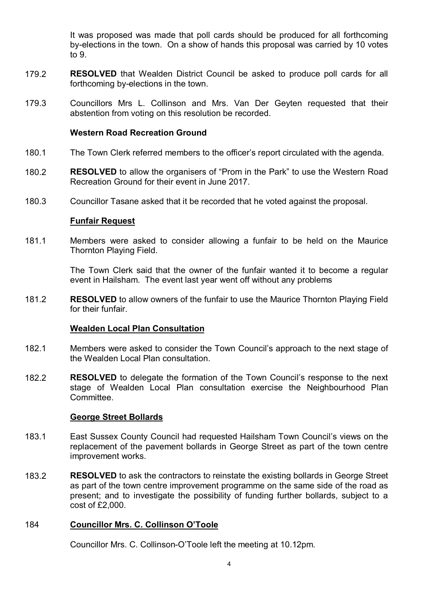It was proposed was made that poll cards should be produced for all forthcoming by-elections in the town. On a show of hands this proposal was carried by 10 votes to 9.

- 179.2 **RESOLVED** that Wealden District Council be asked to produce poll cards for all forthcoming by-elections in the town.
- 179.3 Councillors Mrs L. Collinson and Mrs. Van Der Geyten requested that their abstention from voting on this resolution be recorded.

#### **Western Road Recreation Ground**

- 180.1 The Town Clerk referred members to the officer's report circulated with the agenda.
- 180.2 **RESOLVED** to allow the organisers of "Prom in the Park" to use the Western Road Recreation Ground for their event in June 2017.
- 180.3 Councillor Tasane asked that it be recorded that he voted against the proposal.

#### **Funfair Request**

181.1 Members were asked to consider allowing a funfair to be held on the Maurice Thornton Playing Field.

> The Town Clerk said that the owner of the funfair wanted it to become a regular event in Hailsham. The event last year went off without any problems

181.2 **RESOLVED** to allow owners of the funfair to use the Maurice Thornton Playing Field for their funfair.

#### **Wealden Local Plan Consultation**

- 182.1 Members were asked to consider the Town Council's approach to the next stage of the Wealden Local Plan consultation.
- 182.2 **RESOLVED** to delegate the formation of the Town Council's response to the next stage of Wealden Local Plan consultation exercise the Neighbourhood Plan Committee.

#### **George Street Bollards**

- 183.1 East Sussex County Council had requested Hailsham Town Council's views on the replacement of the pavement bollards in George Street as part of the town centre improvement works.
- 183.2 **RESOLVED** to ask the contractors to reinstate the existing bollards in George Street as part of the town centre improvement programme on the same side of the road as present; and to investigate the possibility of funding further bollards, subject to a cost of £2,000.

#### 184 **Councillor Mrs. C. Collinson O'Toole**

Councillor Mrs. C. Collinson-O'Toole left the meeting at 10.12pm.